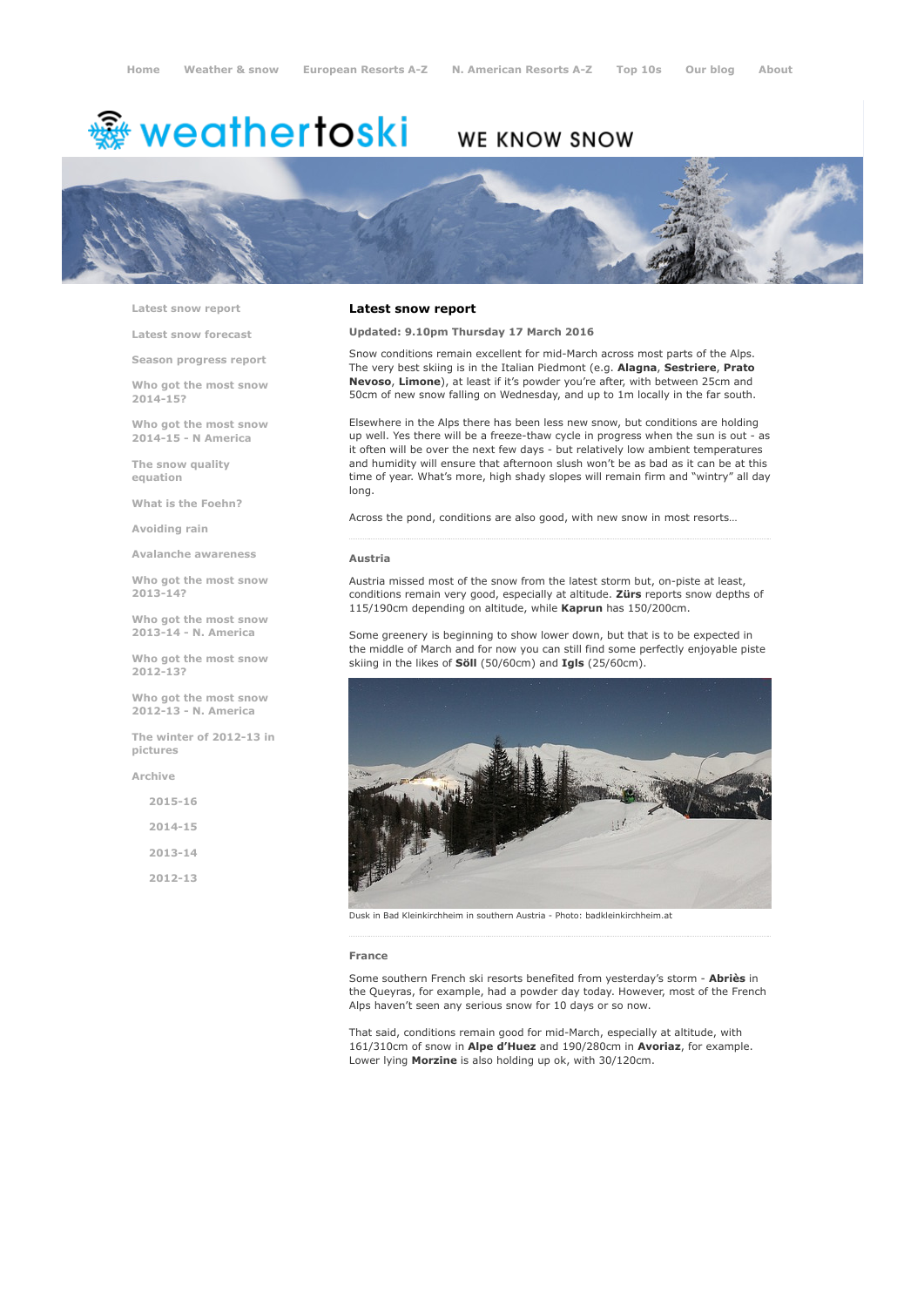# <sup>霧</sup> weathertoski

# WE KNOW SNOW



Latest snow [report](http://www.weathertoski.co.uk/weather-snow/latest-snow-report/)

Latest snow [forecast](http://www.weathertoski.co.uk/weather-snow/latest-snow-forecast/)

Season [progress](http://www.weathertoski.co.uk/weather-snow/season-progress-report/) report

Who got the most snow 2014-15?

Who got the most snow 2014-15 - N America

The snow quality [equation](http://www.weathertoski.co.uk/weather-snow/the-snow-quality-equation/)

What is the [Foehn?](http://www.weathertoski.co.uk/weather-snow/what-is-the-foehn/)

[Avoiding](http://www.weathertoski.co.uk/weather-snow/avoiding-rain/) rain

Avalanche [awareness](http://www.weathertoski.co.uk/weather-snow/avalanche-awareness/)

Who got the most snow 2013-14?

Who got the most snow 2013-14 - N. America

Who got the most snow 2012-13?

Who got the most snow 2012-13 - N. America

The winter of 2012-13 in pictures

[Archive](http://www.weathertoski.co.uk/weather-snow/archive/)

2015-16 2014-15 2013-14 2012-13

### Latest snow report

Updated: 9.10pm Thursday 17 March 2016

Snow conditions remain excellent for mid-March across most parts of the Alps. The very best skiing is in the Italian Piedmont (e.g. Alagna, Sestriere, Prato Nevoso, Limone), at least if it's powder you're after, with between 25cm and 50cm of new snow falling on Wednesday, and up to 1m locally in the far south.

Elsewhere in the Alps there has been less new snow, but conditions are holding up well. Yes there will be a freeze-thaw cycle in progress when the sun is out - as it often will be over the next few days - but relatively low ambient temperatures and humidity will ensure that afternoon slush won't be as bad as it can be at this time of year. What's more, high shady slopes will remain firm and "wintry" all day long.

Across the pond, conditions are also good, with new snow in most resorts…

#### Austria

Austria missed most of the snow from the latest storm but, on-piste at least, conditions remain very good, especially at altitude. Zürs reports snow depths of 115/190cm depending on altitude, while Kaprun has 150/200cm.

Some greenery is beginning to show lower down, but that is to be expected in the middle of March and for now you can still find some perfectly enjoyable piste skiing in the likes of **Söll** (50/60cm) and **Igls** (25/60cm).



Dusk in Bad Kleinkirchheim in southern Austria Photo: badkleinkirchheim.at

#### France

Some southern French ski resorts benefited from yesterday's storm - Abriès in the Queyras, for example, had a powder day today. However, most of the French Alps haven't seen any serious snow for 10 days or so now.

That said, conditions remain good for mid-March, especially at altitude, with 161/310cm of snow in Alpe d'Huez and 190/280cm in Avoriaz, for example. Lower lying Morzine is also holding up ok, with 30/120cm.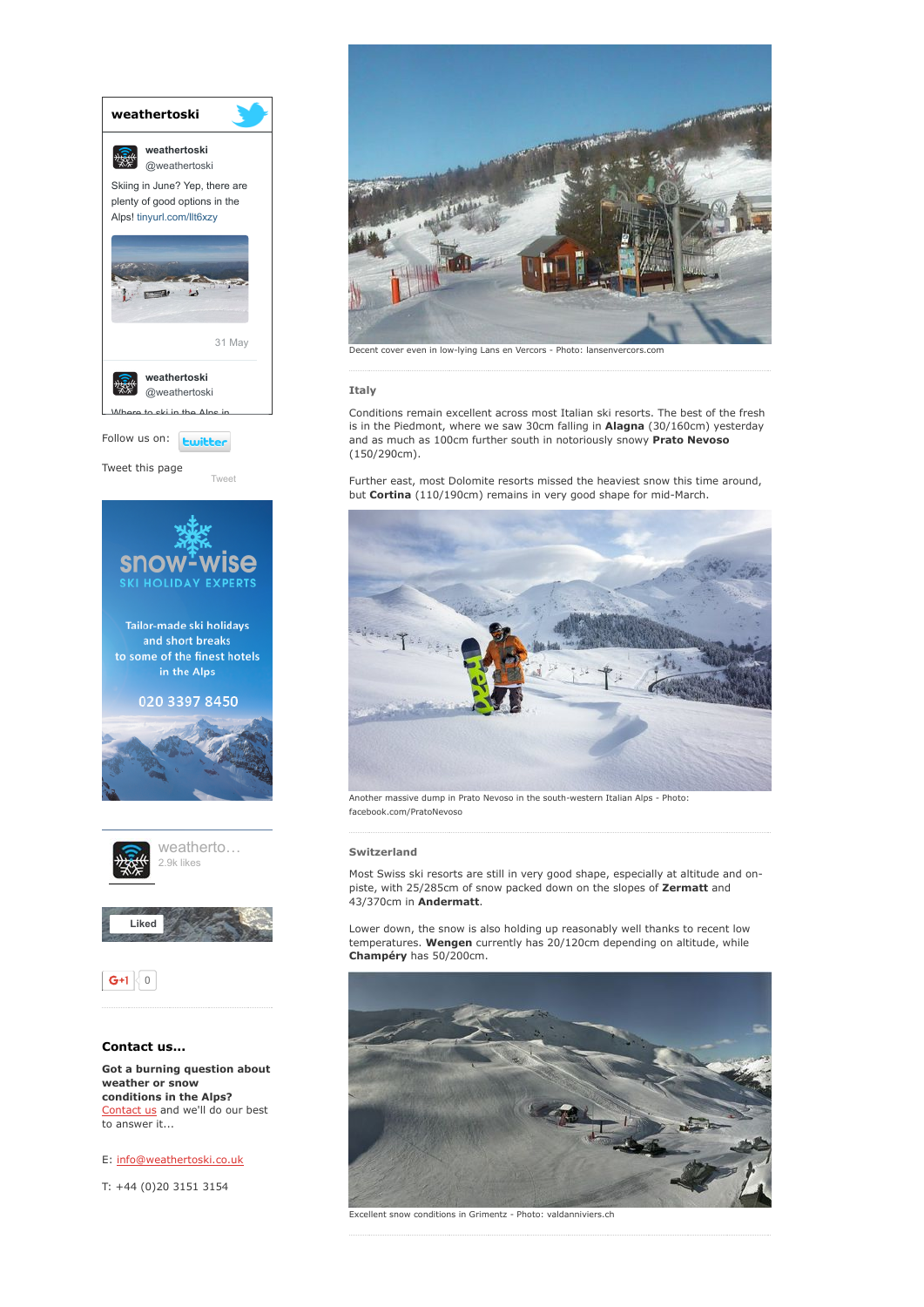

conditions in the Alps? [Contact](http://www.weathertoski.co.uk/about-1/contact-us/) us and we'll do our best to answer it...

E: [info@weathertoski.co.uk](mailto:fraser@weathertoski.co.uk)

T: +44 (0)20 3151 3154



Decent cover even in low-lying Lans en Vercors - Photo: lansenvercors.com

# Italy

Conditions remain excellent across most Italian ski resorts. The best of the fresh is in the Piedmont, where we saw 30cm falling in Alagna (30/160cm) yesterday and as much as 100cm further south in notoriously snowy Prato Nevoso (150/290cm).

Further east, most Dolomite resorts missed the heaviest snow this time around, but Cortina (110/190cm) remains in very good shape for mid-March.



Another massive dump in Prato Nevoso in the south-western Italian Alps - Photo: facebook.com/PratoNevoso

# Switzerland

Most Swiss ski resorts are still in very good shape, especially at altitude and onpiste, with 25/285cm of snow packed down on the slopes of Zermatt and 43/370cm in Andermatt.

Lower down, the snow is also holding up reasonably well thanks to recent low temperatures. Wengen currently has 20/120cm depending on altitude, while Champéry has 50/200cm.



Excellent snow conditions in Grimentz - Photo: valdanniviers.ch